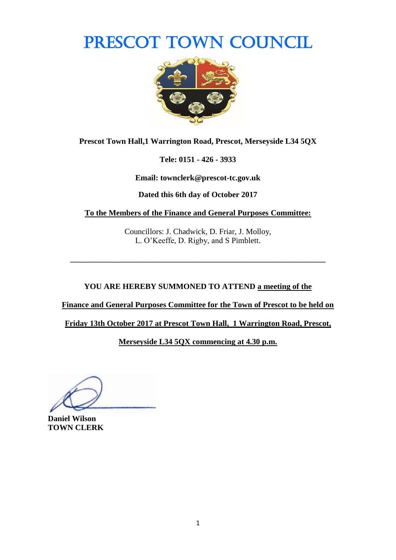# PRESCOT TOWN COUNCIL



**Prescot Town Hall,1 Warrington Road, Prescot, Merseyside L34 5QX**

**Tele: 0151 - 426 - 3933**

**Email: townclerk@prescot-tc.gov.uk**

**Dated this 6th day of October 2017**

**To the Members of the Finance and General Purposes Committee:**

Councillors: J. Chadwick, D. Friar, J. Molloy, L. O'Keeffe, D. Rigby, and S Pimblett.

**\_\_\_\_\_\_\_\_\_\_\_\_\_\_\_\_\_\_\_\_\_\_\_\_\_\_\_\_\_\_\_\_\_\_\_\_\_\_\_\_\_\_\_\_\_\_\_\_\_\_\_\_\_\_\_\_\_\_\_\_\_\_\_\_**

**YOU ARE HEREBY SUMMONED TO ATTEND a meeting of the** 

**Finance and General Purposes Committee for the Town of Prescot to be held on** 

**Friday 13th October 2017 at Prescot Town Hall, 1 Warrington Road, Prescot,** 

**Merseyside L34 5QX commencing at 4.30 p.m.**

**Daniel Wilson TOWN CLERK**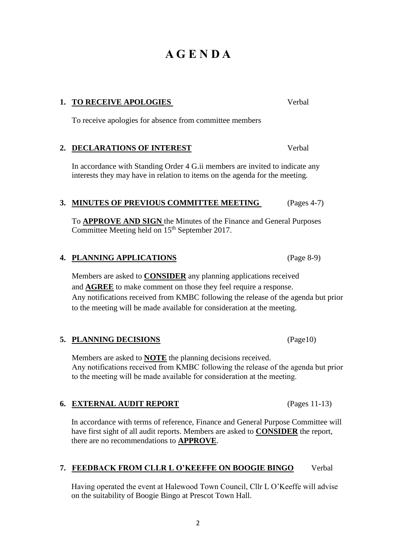#### 2

# **A G E N D A**

### **1. TO RECEIVE APOLOGIES** Verbal

To receive apologies for absence from committee members

#### **2. DECLARATIONS OF INTEREST** Verbal

In accordance with Standing Order 4 G.ii members are invited to indicate any interests they may have in relation to items on the agenda for the meeting.

#### **3. MINUTES OF PREVIOUS COMMITTEE MEETING** (Pages 4-7)

To **APPROVE AND SIGN** the Minutes of the Finance and General Purposes Committee Meeting held on 15<sup>th</sup> September 2017.

#### **4. PLANNING APPLICATIONS** (Page 8-9)

Members are asked to **CONSIDER** any planning applications received and **AGREE** to make comment on those they feel require a response. Any notifications received from KMBC following the release of the agenda but prior to the meeting will be made available for consideration at the meeting.

#### **5. PLANNING DECISIONS** (Page10)

Members are asked to **NOTE** the planning decisions received. Any notifications received from KMBC following the release of the agenda but prior to the meeting will be made available for consideration at the meeting.

#### **6. EXTERNAL AUDIT REPORT** (Pages 11-13)

In accordance with terms of reference, Finance and General Purpose Committee will have first sight of all audit reports. Members are asked to **CONSIDER** the report, there are no recommendations to **APPROVE**.

#### **7. FEEDBACK FROM CLLR L O'KEEFFE ON BOOGIE BINGO** Verbal

Having operated the event at Halewood Town Council, Cllr L O'Keeffe will advise on the suitability of Boogie Bingo at Prescot Town Hall.